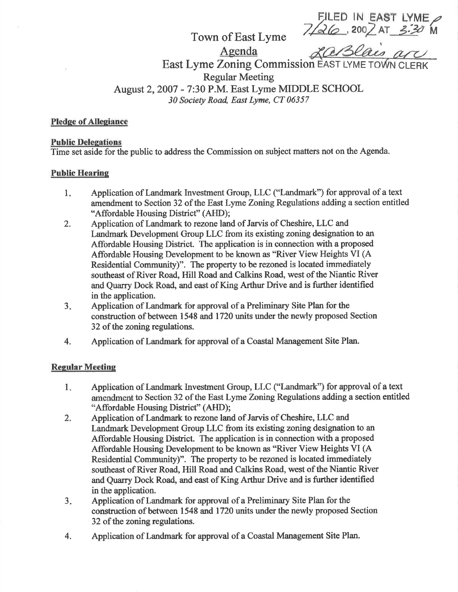FILED IN EAST LYME Town of East Lyme  $\frac{7}{26}$ , 200 AT 3.30 M

East Lyme Zoning Commission EAST LYME TOWN CL Regular Meeting August 2,2007 - 7:30 P.M. East Lyme MIDDLE SCHOOL

30 Society Road, East Lyme, CT 06357

Agenda

### Pledge of Allegiance

#### **Public Delegations**

Time set aside for the public to address the Commission on subject matters not on the Agenda.

## **Public Hearing**

- Application of Landmark Investment Group, LLC ("Landmark") for approval of a text amendment to Section 32 of the East Lyme Zoning Regulations adding a section entitled "Affordable Housing District" (AHD);  $1<sub>x</sub>$
- Application of Landmark to rezone land of Jarvis of Cheshire, LLC and Landmark Development Group LLC from its existing zoning designation to an Affordable Housing District. The application is in connection with a proposed Affordable Housing Development to be known as "River View Heights VI (A Residential Community)". The property to be rezoned is located immediately southeast of River Road, Hill Road and Calkins Road, west of the Niantic River and Quarry Dock Road, and east of King Arthur Drive and is firther identified in the application. 2.
- Application of Landmark for approval of a Preliminary Site Plan for the construction of between 1548 and 1720 units under the newly proposed Section 32 of the zoning regulations. 3.
- Application of Landmark for approval of a Coastal Management Site Plan. 4.

# **Regular Meeting**

- Application of Landmark Investment Group, LLC ("Landmark") for approval of a text amendment to Section 32 of the East Lyme Zoning Regulations adding a section entitled "Affordable Housing District" (AHD);  $1.$
- Application of Landmark to rezone land of Jarvis of Cheshire, LLC and Landmark Development Group LLC from its existing zoning designation to an Affordable Housing District. The application is in connection with a proposed Affordable Housing Development to be known as "River View Heights VI (A Residential Community)". The property to be rezoned is located immediately southeast of River Road, Hill Road and Calkins Road, west of the Niantic River and Quarry Dock Road, and east of King Arthur Drive and is firther identified in the application. 2.
- Application of Landmark for approval of a Preliminary Site Plan for the construction of between 1548 and 1720 units under the newly proposed Section 32 of the zoning regulations. 3.
- Application of Landmark for approval of a Coastal Management Site Plan, 4.